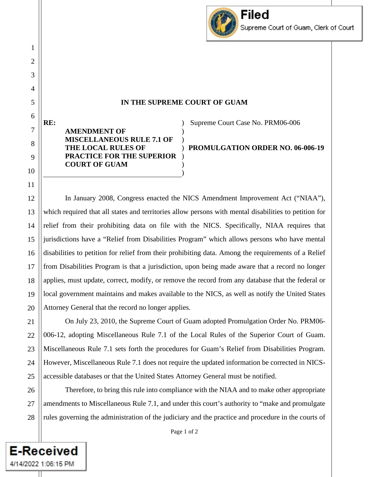

# **IN THE SUPREME COURT OF GUAM**

**RE: AMENDMENT OF MISCELLANEOUS RULE 7.1 OF THE LOCAL RULES OF PRACTICE FOR THE SUPERIOR COURT OF GUAM**  ) ) ) ) ) ) )

1

2

3

4

5

6

7

8

9

10

11

12

13

14

15

16

17

18

19

20

21

**E-Received** 

4/14/2022 1:06:15 PM

Supreme Court Case No. PRM06-006

**PROMULGATION ORDER NO. 06-006-19**

In January 2008, Congress enacted the NICS Amendment Improvement Act ("NIAA"), which required that all states and territories allow persons with mental disabilities to petition for relief from their prohibiting data on file with the NICS. Specifically, NIAA requires that jurisdictions have a "Relief from Disabilities Program" which allows persons who have mental disabilities to petition for relief from their prohibiting data. Among the requirements of a Relief from Disabilities Program is that a jurisdiction, upon being made aware that a record no longer applies, must update, correct, modify, or remove the record from any database that the federal or local government maintains and makes available to the NICS, as well as notify the United States Attorney General that the record no longer applies.

22 23 24 25 On July 23, 2010, the Supreme Court of Guam adopted Promulgation Order No. PRM06- 006-12, adopting Miscellaneous Rule 7.1 of the Local Rules of the Superior Court of Guam. Miscellaneous Rule 7.1 sets forth the procedures for Guam's Relief from Disabilities Program. However, Miscellaneous Rule 7.1 does not require the updated information be corrected in NICSaccessible databases or that the United States Attorney General must be notified.

26 27 28 Therefore, to bring this rule into compliance with the NIAA and to make other appropriate amendments to Miscellaneous Rule 7.1, and under this court's authority to "make and promulgate rules governing the administration of the judiciary and the practice and procedure in the courts of

Page 1 of 2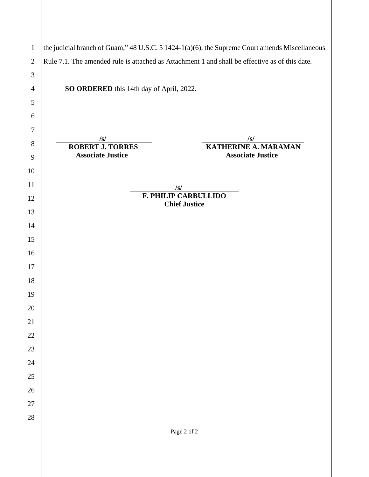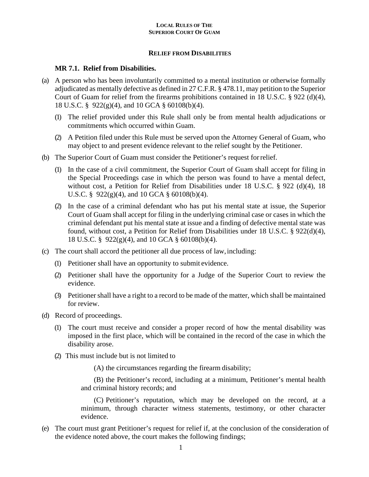## **RELIEF FROM DISABILITIES**

### **MR 7.1. Relief from Disabilities.**

- (a) A person who has been involuntarily committed to a mental institution or otherwise formally adjudicated as mentally defective as defined in 27 C.F.R. § 478.11, may petition to the Superior Court of Guam for relief from the firearms prohibitions contained in 18 U.S.C.  $\S 922$  (d)(4), 18 U.S.C. § 922(g)(4), and 10 GCA § 60108(b)(4).
	- (1) The relief provided under this Rule shall only be from mental health adjudications or commitments which occurred within Guam.
	- (2) A Petition filed under this Rule must be served upon the Attorney General of Guam, who may object to and present evidence relevant to the relief sought by the Petitioner.
- (b) The Superior Court of Guam must consider the Petitioner's request forrelief.
	- (1) In the case of a civil commitment, the Superior Court of Guam shall accept for filing in the Special Proceedings case in which the person was found to have a mental defect, without cost, a Petition for Relief from Disabilities under 18 U.S.C. § 922 (d)(4), 18 U.S.C. §  $922(g)(4)$ , and 10 GCA § 60108(b)(4).
	- (2) In the case of a criminal defendant who has put his mental state at issue, the Superior Court of Guam shall accept for filing in the underlying criminal case or cases in which the criminal defendant put his mental state at issue and a finding of defective mental state was found, without cost, a Petition for Relief from Disabilities under 18 U.S.C. § 922(d)(4), 18 U.S.C. § 922(g)(4), and 10 GCA § 60108(b)(4).
- (c) The court shall accord the petitioner all due process of law, including:
	- (1) Petitioner shall have an opportunity to submit evidence.
	- (2) Petitioner shall have the opportunity for a Judge of the Superior Court to review the evidence.
	- (3) Petitioner shall have a right to a record to be made of the matter, which shall be maintained for review.
- (d) Record of proceedings.
	- (1) The court must receive and consider a proper record of how the mental disability was imposed in the first place, which will be contained in the record of the case in which the disability arose.
	- (2) This must include but is not limited to
		- (A) the circumstances regarding the firearm disability;

(B) the Petitioner's record, including at a minimum, Petitioner's mental health and criminal history records; and

(C) Petitioner's reputation, which may be developed on the record, at a minimum, through character witness statements, testimony, or other character evidence.

(e) The court must grant Petitioner's request for relief if, at the conclusion of the consideration of the evidence noted above, the court makes the following findings;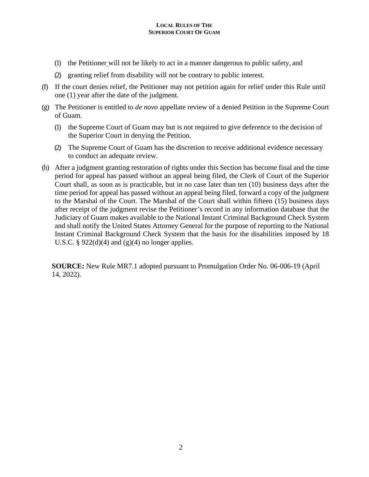- (1) the Petitioner will not be likely to act in a manner dangerous to public safety, and
- (2) granting relief from disability will not be contrary to public interest.
- (f) If the court denies relief, the Petitioner may not petition again for relief under this Rule until one (1) year after the date of the judgment.
- (g) The Petitioner is entitled to *de novo* appellate review of a denied Petition in the Supreme Court of Guam.
	- (1) the Supreme Court of Guam may but is not required to give deference to the decision of the Superior Court in denying the Petition.
	- (2) The Supreme Court of Guam has the discretion to receive additional evidence necessary to conduct an adequate review.
- (h) After a judgment granting restoration of rights under this Section has become final and the time period for appeal has passed without an appeal being filed, the Clerk of Court of the Superior Court shall, as soon as is practicable, but in no case later than ten (10) business days after the time period for appeal has passed without an appeal being filed, forward a copy of the judgment to the Marshal of the Court. The Marshal of the Court shall within fifteen (15) business days after receipt of the judgment revise the Petitioner's record in any information database that the Judiciary of Guam makes available to the National Instant Criminal Background Check System and shall notify the United States Attorney General for the purpose of reporting to the National Instant Criminal Background Check System that the basis for the disabilities imposed by 18 U.S.C. §  $922(d)(4)$  and  $(g)(4)$  no longer applies.

**SOURCE:** New Rule MR7.1 adopted pursuant to Promulgation Order No. 06-006-19 (April 14, 2022).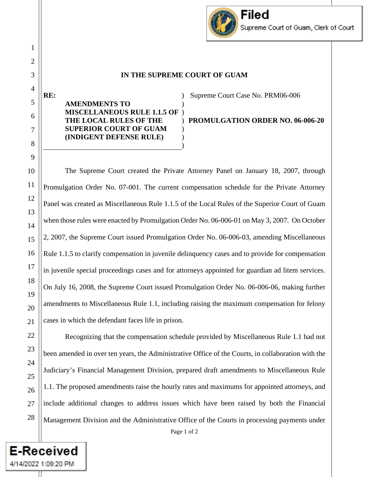# **IN THE SUPREME COURT OF GUAM**

#### **RE: AMENDMENTS TO MISCELLANEOUS RULE 1.1.5 OF THE LOCAL RULES OF THE SUPERIOR COURT OF GUAM (INDIGENT DEFENSE RULE)**  ) ) ) ) ) ) )

Supreme Court Case No. PRM06-006

**PROMULGATION ORDER NO. 06-006-20**

Filed

Supreme Court of Guam, Clerk of Court

The Supreme Court created the Private Attorney Panel on January 18, 2007, through Promulgation Order No. 07-001. The current compensation schedule for the Private Attorney Panel was created as Miscellaneous Rule 1.1.5 of the Local Rules of the Superior Court of Guam when those rules were enacted by Promulgation Order No. 06-006-01 on May 3, 2007. On October 2, 2007, the Supreme Court issued Promulgation Order No. 06-006-03, amending Miscellaneous Rule 1.1.5 to clarify compensation in juvenile delinquency cases and to provide for compensation in juvenile special proceedings cases and for attorneys appointed for guardian ad litem services. On July 16, 2008, the Supreme Court issued Promulgation Order No. 06-006-06, making further amendments to Miscellaneous Rule 1.1, including raising the maximum compensation for felony cases in which the defendant faces life in prison.

Recognizing that the compensation schedule provided by Miscellaneous Rule 1.1 had not been amended in over ten years, the Administrative Office of the Courts, in collaboration with the Judiciary's Financial Management Division, prepared draft amendments to Miscellaneous Rule 1.1. The proposed amendments raise the hourly rates and maximums for appointed attorneys, and include additional changes to address issues which have been raised by both the Financial Management Division and the Administrative Office of the Courts in processing payments under

Page 1 of 2

**E-Received** 

4/14/2022 1:09:20 PM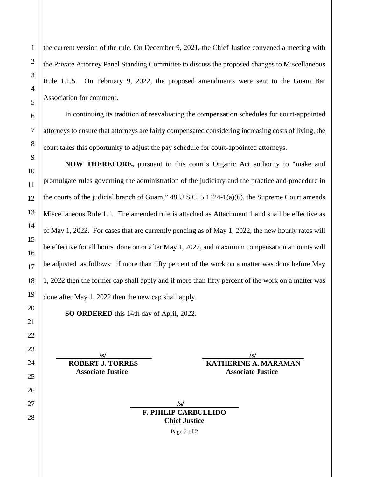the current version of the rule. On December 9, 2021, the Chief Justice convened a meeting with the Private Attorney Panel Standing Committee to discuss the proposed changes to Miscellaneous Rule 1.1.5. On February 9, 2022, the proposed amendments were sent to the Guam Bar Association for comment.

In continuing its tradition of reevaluating the compensation schedules for court-appointed attorneys to ensure that attorneys are fairly compensated considering increasing costs of living, the court takes this opportunity to adjust the pay schedule for court-appointed attorneys.

**NOW THEREFORE,** pursuant to this court's Organic Act authority to "make and promulgate rules governing the administration of the judiciary and the practice and procedure in the courts of the judicial branch of Guam," 48 U.S.C. 5 1424-1(a)(6), the Supreme Court amends Miscellaneous Rule 1.1. The amended rule is attached as Attachment 1 and shall be effective as of May 1, 2022. For cases that are currently pending as of May 1, 2022, the new hourly rates will be effective for all hours done on or after May 1, 2022, and maximum compensation amounts will be adjusted as follows: if more than fifty percent of the work on a matter was done before May 1, 2022 then the former cap shall apply and if more than fifty percent of the work on a matter was done after May 1, 2022 then the new cap shall apply.

**SO ORDERED** this 14th day of April, 2022.

 **/s/ /s/ ROBERT J. TORRES KATHERINE A. MARAMAN Associate Justice Associate Associate Associate** 

| $\sqrt{s}$                  |  |
|-----------------------------|--|
| <b>F. PHILIP CARBULLIDO</b> |  |
| <b>Chief Justice</b>        |  |

Page 2 of 2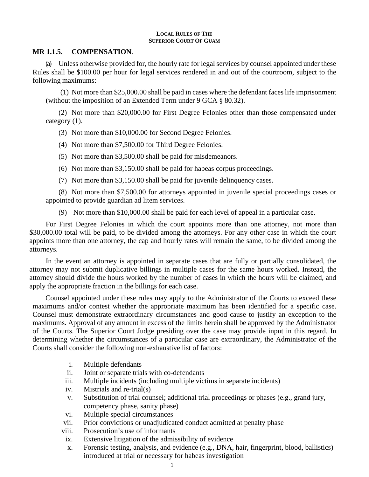## **MR 1.1.5. COMPENSATION**.

(a) Unless otherwise provided for, the hourly rate for legal services by counsel appointed under these Rules shall be \$100.00 per hour for legal services rendered in and out of the courtroom, subject to the following maximums:

(1) Not more than \$25,000.00 shall be paid in cases where the defendant faces life imprisonment (without the imposition of an Extended Term under 9 GCA § 80.32).

(2) Not more than \$20,000.00 for First Degree Felonies other than those compensated under category (1).

(3) Not more than \$10,000.00 for Second Degree Felonies.

(4) Not more than \$7,500.00 for Third Degree Felonies.

(5) Not more than \$3,500.00 shall be paid for misdemeanors.

- (6) Not more than \$3,150.00 shall be paid for habeas corpus proceedings.
- (7) Not more than \$3,150.00 shall be paid for juvenile delinquency cases.

(8) Not more than \$7,500.00 for attorneys appointed in juvenile special proceedings cases or appointed to provide guardian ad litem services.

(9) Not more than \$10,000.00 shall be paid for each level of appeal in a particular case.

For First Degree Felonies in which the court appoints more than one attorney, not more than \$30,000.00 total will be paid, to be divided among the attorneys. For any other case in which the court appoints more than one attorney, the cap and hourly rates will remain the same, to be divided among the attorneys.

In the event an attorney is appointed in separate cases that are fully or partially consolidated, the attorney may not submit duplicative billings in multiple cases for the same hours worked. Instead, the attorney should divide the hours worked by the number of cases in which the hours will be claimed, and apply the appropriate fraction in the billings for each case.

Counsel appointed under these rules may apply to the Administrator of the Courts to exceed these maximums and/or contest whether the appropriate maximum has been identified for a specific case. Counsel must demonstrate extraordinary circumstances and good cause to justify an exception to the maximums. Approval of any amount in excess of the limits herein shall be approved by the Administrator of the Courts. The Superior Court Judge presiding over the case may provide input in this regard. In determining whether the circumstances of a particular case are extraordinary, the Administrator of the Courts shall consider the following non-exhaustive list of factors:

- i. Multiple defendants
- ii. Joint or separate trials with co-defendants
- iii. Multiple incidents (including multiple victims in separate incidents)
- iv. Mistrials and re-trial(s)
- v. Substitution of trial counsel; additional trial proceedings or phases (e.g., grand jury, competency phase, sanity phase)
- vi. Multiple special circumstances
- vii. Prior convictions or unadjudicated conduct admitted at penalty phase
- viii. Prosecution's use of informants
- ix. Extensive litigation of the admissibility of evidence
- x. Forensic testing, analysis, and evidence (e.g., DNA, hair, fingerprint, blood, ballistics) introduced at trial or necessary for habeas investigation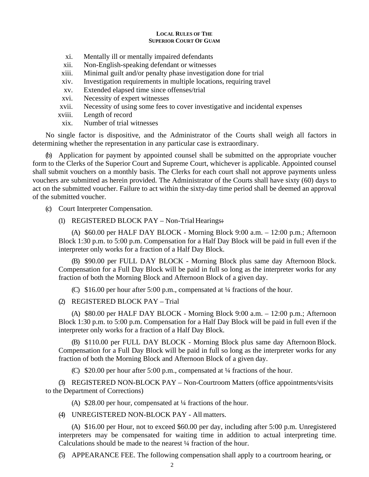- xi. Mentally ill or mentally impaired defendants
- xii. Non-English-speaking defendant or witnesses
- xiii. Minimal guilt and/or penalty phase investigation done for trial
- xiv. Investigation requirements in multiple locations, requiring travel
- xv. Extended elapsed time since offenses/trial
- xvi. Necessity of expert witnesses
- xvii. Necessity of using some fees to cover investigative and incidental expenses
- xviii. Length of record
- xix. Number of trial witnesses

No single factor is dispositive, and the Administrator of the Courts shall weigh all factors in determining whether the representation in any particular case is extraordinary.

(b) Application for payment by appointed counsel shall be submitted on the appropriate voucher form to the Clerks of the Superior Court and Supreme Court, whichever is applicable. Appointed counsel shall submit vouchers on a monthly basis. The Clerks for each court shall not approve payments unless vouchers are submitted as herein provided. The Administrator of the Courts shall have sixty (60) days to act on the submitted voucher. Failure to act within the sixty-day time period shall be deemed an approval of the submitted voucher.

- (c) Court Interpreter Compensation.
	- (1) REGISTERED BLOCK PAY Non-Trial Hearings:

(A) \$60.00 per HALF DAY BLOCK - Morning Block 9:00 a.m. – 12:00 p.m.; Afternoon Block 1:30 p.m. to 5:00 p.m. Compensation for a Half Day Block will be paid in full even if the interpreter only works for a fraction of a Half Day Block.

(B) \$90.00 per FULL DAY BLOCK - Morning Block plus same day Afternoon Block. Compensation for a Full Day Block will be paid in full so long as the interpreter works for any fraction of both the Morning Block and Afternoon Block of a given day.

(C) \$16.00 per hour after 5:00 p.m., compensated at ¼ fractions of the hour.

(2) REGISTERED BLOCK PAY – Trial

(A) \$80.00 per HALF DAY BLOCK - Morning Block 9:00 a.m. – 12:00 p.m.; Afternoon Block 1:30 p.m. to 5:00 p.m. Compensation for a Half Day Block will be paid in full even if the interpreter only works for a fraction of a Half Day Block.

(B) \$110.00 per FULL DAY BLOCK - Morning Block plus same day Afternoon Block. Compensation for a Full Day Block will be paid in full so long as the interpreter works for any fraction of both the Morning Block and Afternoon Block of a given day.

(C) \$20.00 per hour after 5:00 p.m., compensated at ¼ fractions of the hour.

(3) REGISTERED NON-BLOCK PAY – Non-Courtroom Matters (office appointments/visits to the Department of Corrections)

(A) \$28.00 per hour, compensated at ¼ fractions of the hour.

(4) UNREGISTERED NON-BLOCK PAY - All matters.

(A) \$16.00 per Hour, not to exceed \$60.00 per day, including after 5:00 p.m. Unregistered interpreters may be compensated for waiting time in addition to actual interpreting time. Calculations should be made to the nearest ¼ fraction of the hour.

(5) APPEARANCE FEE. The following compensation shall apply to a courtroom hearing, or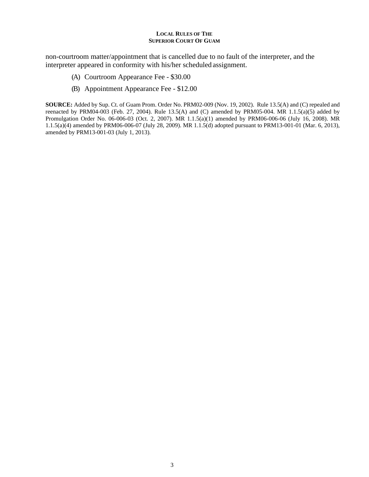non-courtroom matter/appointment that is cancelled due to no fault of the interpreter, and the interpreter appeared in conformity with his/her scheduled assignment.

- (A) Courtroom Appearance Fee \$30.00
- (B) Appointment Appearance Fee \$12.00

**SOURCE:** Added by Sup. Ct. of Guam Prom. Order No. PRM02-009 (Nov. 19, 2002). Rule 13.5(A) and (C) repealed and reenacted by PRM04-003 (Feb. 27, 2004). Rule  $13.5(A)$  and (C) amended by PRM05-004. MR  $1.1.5(a)(5)$  added by Promulgation Order No. 06-006-03 (Oct. 2, 2007). MR 1.1.5(a)(1) amended by PRM06-006-06 (July 16, 2008). MR 1.1.5(a)(4) amended by PRM06-006-07 (July 28, 2009). MR 1.1.5(d) adopted pursuant to PRM13-001-01 (Mar. 6, 2013), amended by PRM13-001-03 (July 1, 2013).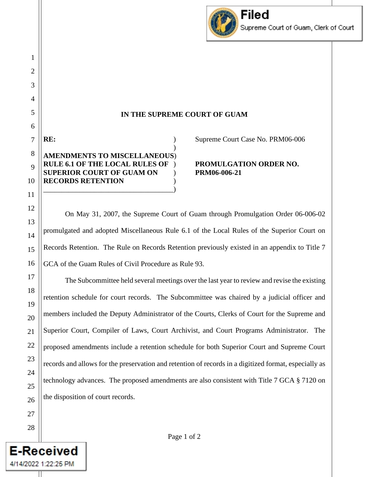

## **IN THE SUPREME COURT OF GUAM**

| AMENDMENTS TO MISCELLANEOUS)          |
|---------------------------------------|
| <b>RULE 6.1 OF THE LOCAL RULES OF</b> |
| <b>SUPERIOR COURT OF GUAM ON</b>      |
| <b>RECORDS RETENTION</b>              |
|                                       |

Supreme Court Case No. PRM06-006

**RULE 6.1 OF THE LOCAL RULES OF** ) **PROMULGATION ORDER NO. SUPERIOR COURT OF GUAM ON** ) **PRM06-006-21**

On May 31, 2007, the Supreme Court of Guam through Promulgation Order 06-006-02 promulgated and adopted Miscellaneous Rule 6.1 of the Local Rules of the Superior Court on Records Retention. The Rule on Records Retention previously existed in an appendix to Title 7 GCA of the Guam Rules of Civil Procedure as Rule 93.

The Subcommittee held several meetings over the last year to review and revise the existing retention schedule for court records. The Subcommittee was chaired by a judicial officer and members included the Deputy Administrator of the Courts, Clerks of Court for the Supreme and Superior Court, Compiler of Laws, Court Archivist, and Court Programs Administrator. The proposed amendments include a retention schedule for both Superior Court and Supreme Court records and allows for the preservation and retention of records in a digitized format, especially as technology advances. The proposed amendments are also consistent with Title 7 GCA § 7120 on the disposition of court records.

4/14/2022 1:22:25 PM

1

2

3

4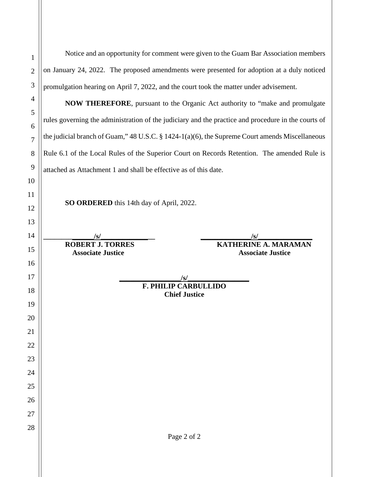Page 2 of 2 Notice and an opportunity for comment were given to the Guam Bar Association members on January 24, 2022. The proposed amendments were presented for adoption at a duly noticed promulgation hearing on April 7, 2022, and the court took the matter under advisement. **NOW THEREFORE**, pursuant to the Organic Act authority to "make and promulgate rules governing the administration of the judiciary and the practice and procedure in the courts of the judicial branch of Guam," 48 U.S.C. § 1424-1(a)(6), the Supreme Court amends Miscellaneous Rule 6.1 of the Local Rules of the Superior Court on Records Retention. The amended Rule is attached as Attachment 1 and shall be effective as of this date. **SO ORDERED** this 14th day of April, 2022. **\_\_\_\_\_\_\_\_\_\_\_\_\_\_/s/\_\_\_\_\_\_\_\_\_\_\_\_\_\_\_ \_\_\_\_\_\_\_\_\_\_\_\_\_\_/s/\_\_\_\_\_\_\_\_\_\_\_\_\_\_\_ ROBERT J. TORRES KATHERINE A. MARAMAN Associate Justice Associate Justice**  $\frac{1}{s}$ **F. PHILIP CARBULLIDO Chief Justice**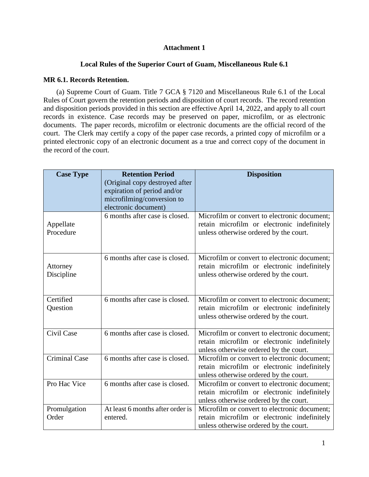# **Attachment 1**

# **Local Rules of the Superior Court of Guam, Miscellaneous Rule 6.1**

## **MR 6.1. Records Retention.**

(a) Supreme Court of Guam. Title 7 GCA § 7120 and Miscellaneous Rule 6.1 of the Local Rules of Court govern the retention periods and disposition of court records. The record retention and disposition periods provided in this section are effective April 14, 2022, and apply to all court records in existence. Case records may be preserved on paper, microfilm, or as electronic documents. The paper records, microfilm or electronic documents are the official record of the court. The Clerk may certify a copy of the paper case records, a printed copy of microfilm or a printed electronic copy of an electronic document as a true and correct copy of the document in the record of the court.

| <b>Case Type</b>       | <b>Retention Period</b><br>(Original copy destroyed after<br>expiration of period and/or | <b>Disposition</b>                                                                                                                    |
|------------------------|------------------------------------------------------------------------------------------|---------------------------------------------------------------------------------------------------------------------------------------|
|                        | microfilming/conversion to<br>electronic document)                                       |                                                                                                                                       |
| Appellate<br>Procedure | 6 months after case is closed.                                                           | Microfilm or convert to electronic document;<br>retain microfilm or electronic indefinitely<br>unless otherwise ordered by the court. |
| Attorney<br>Discipline | 6 months after case is closed.                                                           | Microfilm or convert to electronic document;<br>retain microfilm or electronic indefinitely<br>unless otherwise ordered by the court. |
| Certified<br>Question  | 6 months after case is closed.                                                           | Microfilm or convert to electronic document;<br>retain microfilm or electronic indefinitely<br>unless otherwise ordered by the court. |
| Civil Case             | 6 months after case is closed.                                                           | Microfilm or convert to electronic document;<br>retain microfilm or electronic indefinitely<br>unless otherwise ordered by the court. |
| <b>Criminal Case</b>   | 6 months after case is closed.                                                           | Microfilm or convert to electronic document;<br>retain microfilm or electronic indefinitely<br>unless otherwise ordered by the court. |
| Pro Hac Vice           | 6 months after case is closed.                                                           | Microfilm or convert to electronic document;<br>retain microfilm or electronic indefinitely<br>unless otherwise ordered by the court. |
| Promulgation<br>Order  | At least 6 months after order is<br>entered.                                             | Microfilm or convert to electronic document;<br>retain microfilm or electronic indefinitely<br>unless otherwise ordered by the court. |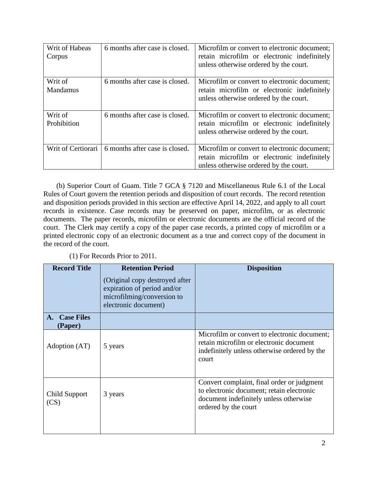| Writ of Habeas<br>Corpus | 6 months after case is closed.                            | Microfilm or convert to electronic document;<br>retain microfilm or electronic indefinitely<br>unless otherwise ordered by the court. |
|--------------------------|-----------------------------------------------------------|---------------------------------------------------------------------------------------------------------------------------------------|
| Writ of<br>Mandamus      | 6 months after case is closed.                            | Microfilm or convert to electronic document;<br>retain microfilm or electronic indefinitely<br>unless otherwise ordered by the court. |
| Writ of<br>Prohibition   | 6 months after case is closed.                            | Microfilm or convert to electronic document;<br>retain microfilm or electronic indefinitely<br>unless otherwise ordered by the court. |
|                          | Writ of Certiorari $\vert$ 6 months after case is closed. | Microfilm or convert to electronic document;<br>retain microfilm or electronic indefinitely<br>unless otherwise ordered by the court. |

(b) Superior Court of Guam. Title 7 GCA § 7120 and Miscellaneous Rule 6.1 of the Local Rules of Court govern the retention periods and disposition of court records. The record retention and disposition periods provided in this section are effective April 14, 2022, and apply to all court records in existence. Case records may be preserved on paper, microfilm, or as electronic documents. The paper records, microfilm or electronic documents are the official record of the court. The Clerk may certify a copy of the paper case records, a printed copy of microfilm or a printed electronic copy of an electronic document as a true and correct copy of the document in the record of the court.

(1) For Records Prior to 2011.

| <b>Record Title</b>                | <b>Retention Period</b><br>(Original copy destroyed after)<br>expiration of period and/or<br>microfilming/conversion to<br>electronic document) | <b>Disposition</b>                                                                                                                                        |
|------------------------------------|-------------------------------------------------------------------------------------------------------------------------------------------------|-----------------------------------------------------------------------------------------------------------------------------------------------------------|
| <b>Case Files</b><br>A.<br>(Paper) |                                                                                                                                                 |                                                                                                                                                           |
| Adoption (AT)                      | 5 years                                                                                                                                         | Microfilm or convert to electronic document;<br>retain microfilm or electronic document<br>indefinitely unless otherwise ordered by the<br>court          |
| Child Support<br>(CS)              | 3 years                                                                                                                                         | Convert complaint, final order or judgment<br>to electronic document; retain electronic<br>document indefinitely unless otherwise<br>ordered by the court |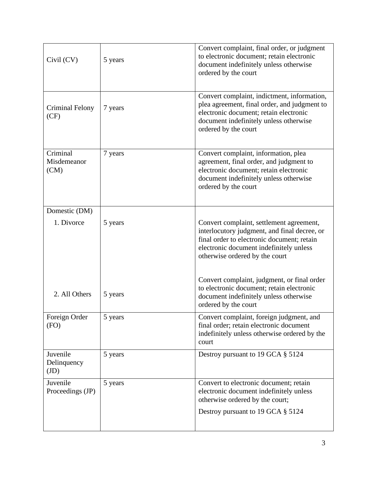| Civil (CV)                      | 5 years | Convert complaint, final order, or judgment<br>to electronic document; retain electronic<br>document indefinitely unless otherwise<br>ordered by the court                                                          |
|---------------------------------|---------|---------------------------------------------------------------------------------------------------------------------------------------------------------------------------------------------------------------------|
| Criminal Felony<br>(CF)         | 7 years | Convert complaint, indictment, information,<br>plea agreement, final order, and judgment to<br>electronic document; retain electronic<br>document indefinitely unless otherwise<br>ordered by the court             |
| Criminal<br>Misdemeanor<br>(CM) | 7 years | Convert complaint, information, plea<br>agreement, final order, and judgment to<br>electronic document; retain electronic<br>document indefinitely unless otherwise<br>ordered by the court                         |
| Domestic (DM)                   |         |                                                                                                                                                                                                                     |
| 1. Divorce                      | 5 years | Convert complaint, settlement agreement,<br>interlocutory judgment, and final decree, or<br>final order to electronic document; retain<br>electronic document indefinitely unless<br>otherwise ordered by the court |
| 2. All Others                   | 5 years | Convert complaint, judgment, or final order<br>to electronic document; retain electronic<br>document indefinitely unless otherwise<br>ordered by the court                                                          |
| Foreign Order<br>(FO)           | 5 years | Convert complaint, foreign judgment, and<br>final order; retain electronic document<br>indefinitely unless otherwise ordered by the<br>court                                                                        |
| Juvenile<br>Delinquency<br>(JD) | 5 years | Destroy pursuant to 19 GCA § 5124                                                                                                                                                                                   |
| Juvenile<br>Proceedings (JP)    | 5 years | Convert to electronic document; retain<br>electronic document indefinitely unless<br>otherwise ordered by the court;                                                                                                |
|                                 |         | Destroy pursuant to 19 GCA § 5124                                                                                                                                                                                   |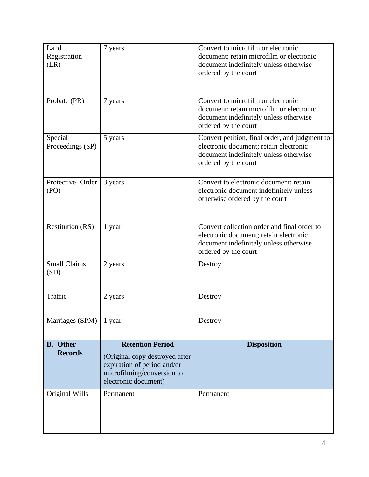| Land<br>Registration<br>(LR)      | 7 years                                                                                                                                        | Convert to microfilm or electronic<br>document; retain microfilm or electronic<br>document indefinitely unless otherwise<br>ordered by the court           |
|-----------------------------------|------------------------------------------------------------------------------------------------------------------------------------------------|------------------------------------------------------------------------------------------------------------------------------------------------------------|
| Probate (PR)                      | 7 years                                                                                                                                        | Convert to microfilm or electronic<br>document; retain microfilm or electronic<br>document indefinitely unless otherwise<br>ordered by the court           |
| Special<br>Proceedings (SP)       | 5 years                                                                                                                                        | Convert petition, final order, and judgment to<br>electronic document; retain electronic<br>document indefinitely unless otherwise<br>ordered by the court |
| Protective Order<br>(PO)          | 3 years                                                                                                                                        | Convert to electronic document; retain<br>electronic document indefinitely unless<br>otherwise ordered by the court                                        |
| <b>Restitution (RS)</b>           | 1 year                                                                                                                                         | Convert collection order and final order to<br>electronic document; retain electronic<br>document indefinitely unless otherwise<br>ordered by the court    |
| <b>Small Claims</b><br>(SD)       | 2 years                                                                                                                                        | Destroy                                                                                                                                                    |
| Traffic                           | 2 years                                                                                                                                        | Destroy                                                                                                                                                    |
| Marriages (SPM)                   | 1 year                                                                                                                                         | Destroy                                                                                                                                                    |
| <b>B.</b> Other<br><b>Records</b> | <b>Retention Period</b><br>(Original copy destroyed after<br>expiration of period and/or<br>microfilming/conversion to<br>electronic document) | <b>Disposition</b>                                                                                                                                         |
| Original Wills                    | Permanent                                                                                                                                      | Permanent                                                                                                                                                  |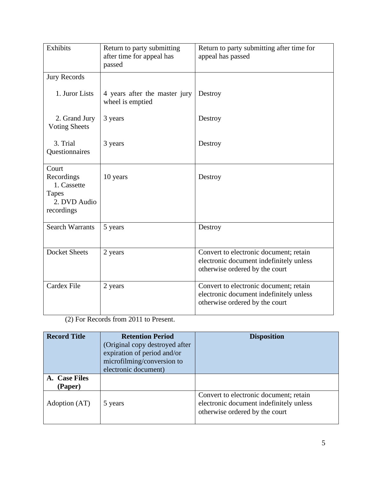| Exhibits                                                                         | Return to party submitting<br>after time for appeal has<br>passed | Return to party submitting after time for<br>appeal has passed                                                      |
|----------------------------------------------------------------------------------|-------------------------------------------------------------------|---------------------------------------------------------------------------------------------------------------------|
| <b>Jury Records</b>                                                              |                                                                   |                                                                                                                     |
| 1. Juror Lists                                                                   | 4 years after the master jury<br>wheel is emptied                 | Destroy                                                                                                             |
| 2. Grand Jury<br><b>Voting Sheets</b>                                            | 3 years                                                           | Destroy                                                                                                             |
| 3. Trial<br>Questionnaires                                                       | 3 years                                                           | Destroy                                                                                                             |
| Court<br>Recordings<br>1. Cassette<br><b>Tapes</b><br>2. DVD Audio<br>recordings | 10 years                                                          | Destroy                                                                                                             |
| <b>Search Warrants</b>                                                           | 5 years                                                           | Destroy                                                                                                             |
| <b>Docket Sheets</b>                                                             | 2 years                                                           | Convert to electronic document; retain<br>electronic document indefinitely unless<br>otherwise ordered by the court |
| Cardex File                                                                      | 2 years                                                           | Convert to electronic document; retain<br>electronic document indefinitely unless<br>otherwise ordered by the court |

(2) For Records from 2011 to Present.

| <b>Record Title</b>      | <b>Retention Period</b><br>(Original copy destroyed after<br>expiration of period and/or<br>microfilming/conversion to<br>electronic document) | <b>Disposition</b>                                                                                                  |
|--------------------------|------------------------------------------------------------------------------------------------------------------------------------------------|---------------------------------------------------------------------------------------------------------------------|
| A. Case Files<br>(Paper) |                                                                                                                                                |                                                                                                                     |
| Adoption (AT)            | 5 years                                                                                                                                        | Convert to electronic document; retain<br>electronic document indefinitely unless<br>otherwise ordered by the court |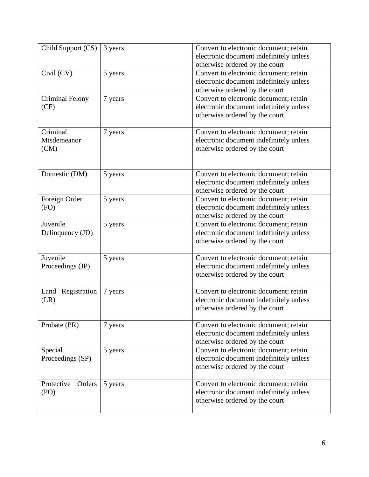| Child Support (CS)              | 3 years | Convert to electronic document; retain<br>electronic document indefinitely unless<br>otherwise ordered by the court |
|---------------------------------|---------|---------------------------------------------------------------------------------------------------------------------|
| Civil (CV)                      | 5 years | Convert to electronic document; retain<br>electronic document indefinitely unless<br>otherwise ordered by the court |
| <b>Criminal Felony</b><br>(CF)  | 7 years | Convert to electronic document; retain<br>electronic document indefinitely unless<br>otherwise ordered by the court |
| Criminal<br>Misdemeanor<br>(CM) | 7 years | Convert to electronic document; retain<br>electronic document indefinitely unless<br>otherwise ordered by the court |
| Domestic (DM)                   | 5 years | Convert to electronic document; retain<br>electronic document indefinitely unless<br>otherwise ordered by the court |
| Foreign Order<br>(FO)           | 5 years | Convert to electronic document; retain<br>electronic document indefinitely unless<br>otherwise ordered by the court |
| Juvenile<br>Delinquency (JD)    | 5 years | Convert to electronic document; retain<br>electronic document indefinitely unless<br>otherwise ordered by the court |
| Juvenile<br>Proceedings (JP)    | 5 years | Convert to electronic document; retain<br>electronic document indefinitely unless<br>otherwise ordered by the court |
| Land Registration<br>(LR)       | 7 years | Convert to electronic document; retain<br>electronic document indefinitely unless<br>otherwise ordered by the court |
| Probate (PR)                    | 7 years | Convert to electronic document; retain<br>electronic document indefinitely unless<br>otherwise ordered by the court |
| Special<br>Proceedings (SP)     | 5 years | Convert to electronic document; retain<br>electronic document indefinitely unless<br>otherwise ordered by the court |
| Protective Orders<br>(PO)       | 5 years | Convert to electronic document; retain<br>electronic document indefinitely unless<br>otherwise ordered by the court |